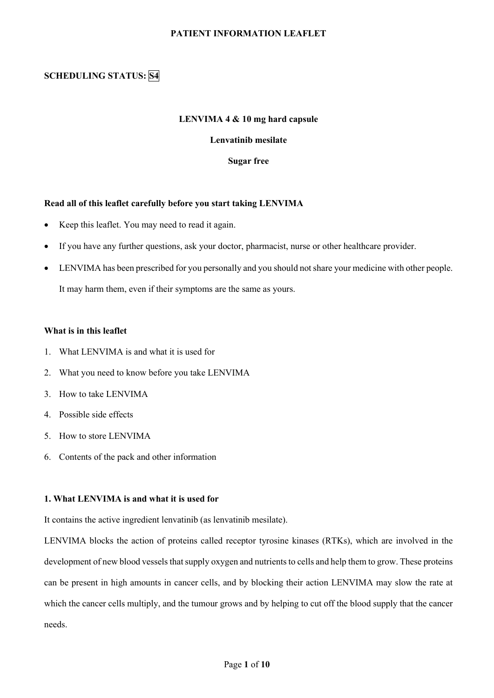# **PATIENT INFORMATION LEAFLET**

# **SCHEDULING STATUS: S4**

### **LENVIMA 4 & 10 mg hard capsule**

# **Lenvatinib mesilate**

**Sugar free**

#### **Read all of this leaflet carefully before you start taking LENVIMA**

- Keep this leaflet. You may need to read it again.
- If you have any further questions, ask your doctor, pharmacist, nurse or other healthcare provider.
- LENVIMA has been prescribed for you personally and you should not share your medicine with other people. It may harm them, even if their symptoms are the same as yours.

#### **What is in this leaflet**

- 1. What LENVIMA is and what it is used for
- 2. What you need to know before you take LENVIMA
- 3. How to take LENVIMA
- 4. Possible side effects
- 5. How to store LENVIMA
- 6. Contents of the pack and other information

# **1. What LENVIMA is and what it is used for**

It contains the active ingredient lenvatinib (as lenvatinib mesilate).

LENVIMA blocks the action of proteins called receptor tyrosine kinases (RTKs), which are involved in the development of new blood vessels that supply oxygen and nutrients to cells and help them to grow. These proteins can be present in high amounts in cancer cells, and by blocking their action LENVIMA may slow the rate at which the cancer cells multiply, and the tumour grows and by helping to cut off the blood supply that the cancer needs.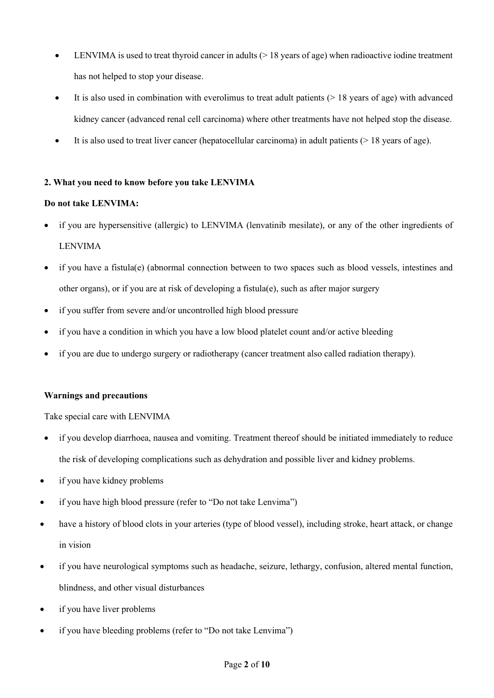- LENVIMA is used to treat thyroid cancer in adults  $(> 18$  years of age) when radioactive iodine treatment has not helped to stop your disease.
- It is also used in combination with everolimus to treat adult patients  $(> 18$  years of age) with advanced kidney cancer (advanced renal cell carcinoma) where other treatments have not helped stop the disease.
- It is also used to treat liver cancer (hepatocellular carcinoma) in adult patients  $($  > 18 years of age).

# **2. What you need to know before you take LENVIMA**

# **Do not take LENVIMA:**

- if you are hypersensitive (allergic) to LENVIMA (lenvatinib mesilate), or any of the other ingredients of LENVIMA
- if you have a fistula(e) (abnormal connection between to two spaces such as blood vessels, intestines and other organs), or if you are at risk of developing a fistula(e), such as after major surgery
- if you suffer from severe and/or uncontrolled high blood pressure
- if you have a condition in which you have a low blood platelet count and/or active bleeding
- if you are due to undergo surgery or radiotherapy (cancer treatment also called radiation therapy).

# **Warnings and precautions**

# Take special care with LENVIMA

- if you develop diarrhoea, nausea and vomiting. Treatment thereof should be initiated immediately to reduce the risk of developing complications such as dehydration and possible liver and kidney problems.
- if you have kidney problems
- if you have high blood pressure (refer to "Do not take Lenvima")
- have a history of blood clots in your arteries (type of blood vessel), including stroke, heart attack, or change in vision
- if you have neurological symptoms such as headache, seizure, lethargy, confusion, altered mental function, blindness, and other visual disturbances
- if you have liver problems
- if you have bleeding problems (refer to "Do not take Lenvima")

# Page **2** of **10**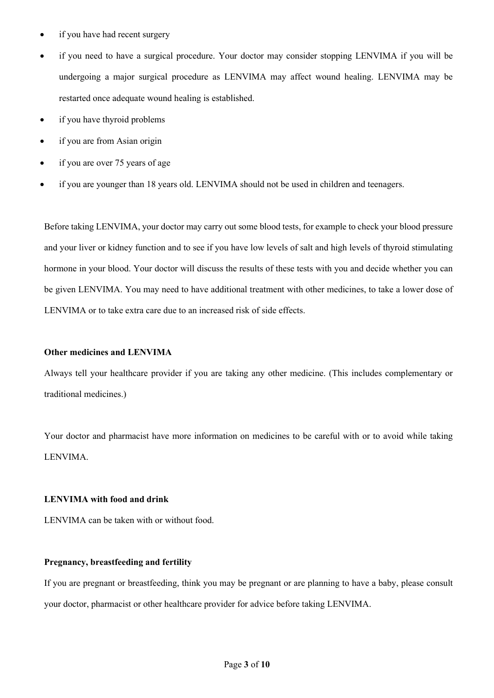- if you have had recent surgery
- if you need to have a surgical procedure. Your doctor may consider stopping LENVIMA if you will be undergoing a major surgical procedure as LENVIMA may affect wound healing. LENVIMA may be restarted once adequate wound healing is established.
- if you have thyroid problems
- if you are from Asian origin
- if you are over 75 years of age
- if you are younger than 18 years old. LENVIMA should not be used in children and teenagers.

Before taking LENVIMA, your doctor may carry out some blood tests, for example to check your blood pressure and your liver or kidney function and to see if you have low levels of salt and high levels of thyroid stimulating hormone in your blood. Your doctor will discuss the results of these tests with you and decide whether you can be given LENVIMA. You may need to have additional treatment with other medicines, to take a lower dose of LENVIMA or to take extra care due to an increased risk of side effects.

# **Other medicines and LENVIMA**

Always tell your healthcare provider if you are taking any other medicine. (This includes complementary or traditional medicines.)

Your doctor and pharmacist have more information on medicines to be careful with or to avoid while taking LENVIMA.

# **LENVIMA with food and drink**

LENVIMA can be taken with or without food.

# **Pregnancy, breastfeeding and fertility**

If you are pregnant or breastfeeding, think you may be pregnant or are planning to have a baby, please consult your doctor, pharmacist or other healthcare provider for advice before taking LENVIMA.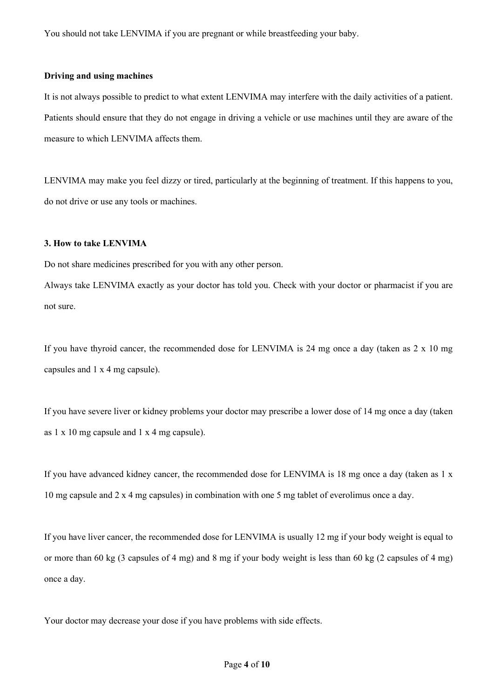You should not take LENVIMA if you are pregnant or while breastfeeding your baby.

#### **Driving and using machines**

It is not always possible to predict to what extent LENVIMA may interfere with the daily activities of a patient. Patients should ensure that they do not engage in driving a vehicle or use machines until they are aware of the measure to which LENVIMA affects them.

LENVIMA may make you feel dizzy or tired, particularly at the beginning of treatment. If this happens to you, do not drive or use any tools or machines.

# **3. How to take LENVIMA**

Do not share medicines prescribed for you with any other person.

Always take LENVIMA exactly as your doctor has told you. Check with your doctor or pharmacist if you are not sure.

If you have thyroid cancer, the recommended dose for LENVIMA is 24 mg once a day (taken as  $2 \times 10$  mg capsules and 1 x 4 mg capsule).

If you have severe liver or kidney problems your doctor may prescribe a lower dose of 14 mg once a day (taken as 1 x 10 mg capsule and 1 x 4 mg capsule).

If you have advanced kidney cancer, the recommended dose for LENVIMA is 18 mg once a day (taken as 1 x 10 mg capsule and 2 x 4 mg capsules) in combination with one 5 mg tablet of everolimus once a day.

If you have liver cancer, the recommended dose for LENVIMA is usually 12 mg if your body weight is equal to or more than 60 kg (3 capsules of 4 mg) and 8 mg if your body weight is less than 60 kg (2 capsules of 4 mg) once a day.

Your doctor may decrease your dose if you have problems with side effects.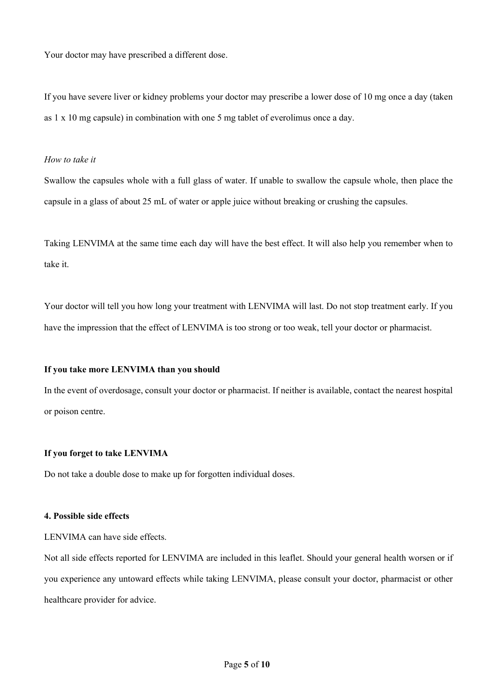Your doctor may have prescribed a different dose.

If you have severe liver or kidney problems your doctor may prescribe a lower dose of 10 mg once a day (taken as 1 x 10 mg capsule) in combination with one 5 mg tablet of everolimus once a day.

#### *How to take it*

Swallow the capsules whole with a full glass of water. If unable to swallow the capsule whole, then place the capsule in a glass of about 25 mL of water or apple juice without breaking or crushing the capsules.

Taking LENVIMA at the same time each day will have the best effect. It will also help you remember when to take it.

Your doctor will tell you how long your treatment with LENVIMA will last. Do not stop treatment early. If you have the impression that the effect of LENVIMA is too strong or too weak, tell your doctor or pharmacist.

### **If you take more LENVIMA than you should**

In the event of overdosage, consult your doctor or pharmacist. If neither is available, contact the nearest hospital or poison centre.

#### **If you forget to take LENVIMA**

Do not take a double dose to make up for forgotten individual doses.

#### **4. Possible side effects**

LENVIMA can have side effects.

Not all side effects reported for LENVIMA are included in this leaflet. Should your general health worsen or if you experience any untoward effects while taking LENVIMA, please consult your doctor, pharmacist or other healthcare provider for advice.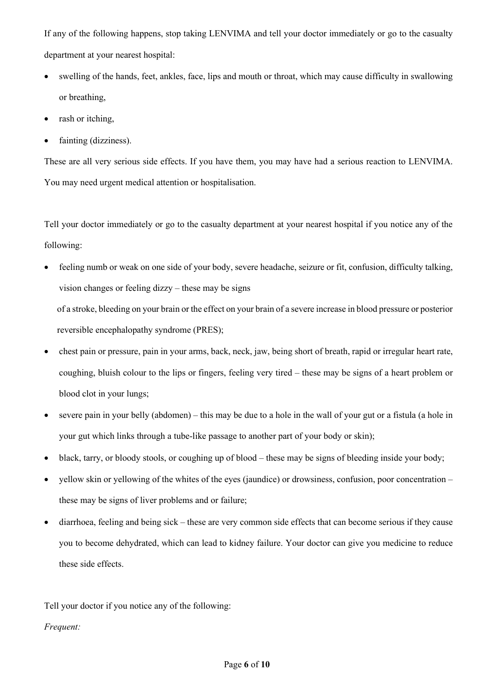If any of the following happens, stop taking LENVIMA and tell your doctor immediately or go to the casualty department at your nearest hospital:

- swelling of the hands, feet, ankles, face, lips and mouth or throat, which may cause difficulty in swallowing or breathing,
- rash or itching,
- fainting (dizziness).

These are all very serious side effects. If you have them, you may have had a serious reaction to LENVIMA. You may need urgent medical attention or hospitalisation.

Tell your doctor immediately or go to the casualty department at your nearest hospital if you notice any of the following:

• feeling numb or weak on one side of your body, severe headache, seizure or fit, confusion, difficulty talking, vision changes or feeling dizzy – these may be signs

of a stroke, bleeding on your brain or the effect on your brain of a severe increase in blood pressure or posterior reversible encephalopathy syndrome (PRES);

- chest pain or pressure, pain in your arms, back, neck, jaw, being short of breath, rapid or irregular heart rate, coughing, bluish colour to the lips or fingers, feeling very tired – these may be signs of a heart problem or blood clot in your lungs;
- severe pain in your belly (abdomen) this may be due to a hole in the wall of your gut or a fistula (a hole in your gut which links through a tube-like passage to another part of your body or skin);
- black, tarry, or bloody stools, or coughing up of blood these may be signs of bleeding inside your body;
- yellow skin or yellowing of the whites of the eyes (jaundice) or drowsiness, confusion, poor concentration these may be signs of liver problems and or failure;
- diarrhoea, feeling and being sick these are very common side effects that can become serious if they cause you to become dehydrated, which can lead to kidney failure. Your doctor can give you medicine to reduce these side effects.

Tell your doctor if you notice any of the following:

# *Frequent:*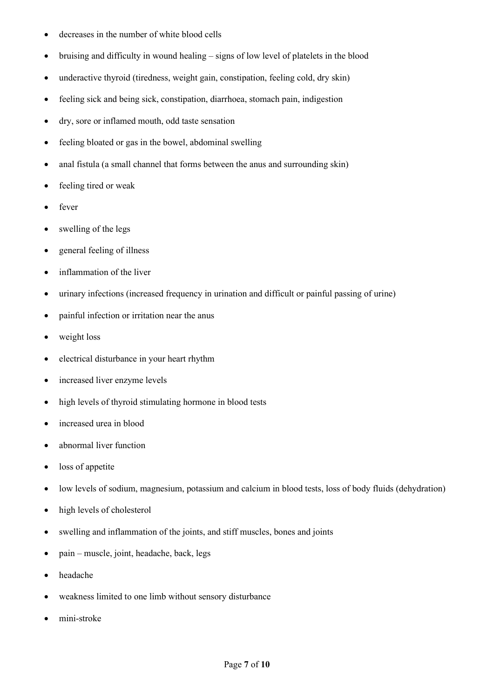- decreases in the number of white blood cells
- bruising and difficulty in wound healing signs of low level of platelets in the blood
- underactive thyroid (tiredness, weight gain, constipation, feeling cold, dry skin)
- feeling sick and being sick, constipation, diarrhoea, stomach pain, indigestion
- dry, sore or inflamed mouth, odd taste sensation
- feeling bloated or gas in the bowel, abdominal swelling
- anal fistula (a small channel that forms between the anus and surrounding skin)
- feeling tired or weak
- fever
- swelling of the legs
- general feeling of illness
- inflammation of the liver
- urinary infections (increased frequency in urination and difficult or painful passing of urine)
- painful infection or irritation near the anus
- weight loss
- electrical disturbance in your heart rhythm
- increased liver enzyme levels
- high levels of thyroid stimulating hormone in blood tests
- increased urea in blood
- abnormal liver function
- loss of appetite
- low levels of sodium, magnesium, potassium and calcium in blood tests, loss of body fluids (dehydration)
- high levels of cholesterol
- swelling and inflammation of the joints, and stiff muscles, bones and joints
- pain muscle, joint, headache, back, legs
- headache
- weakness limited to one limb without sensory disturbance
- mini-stroke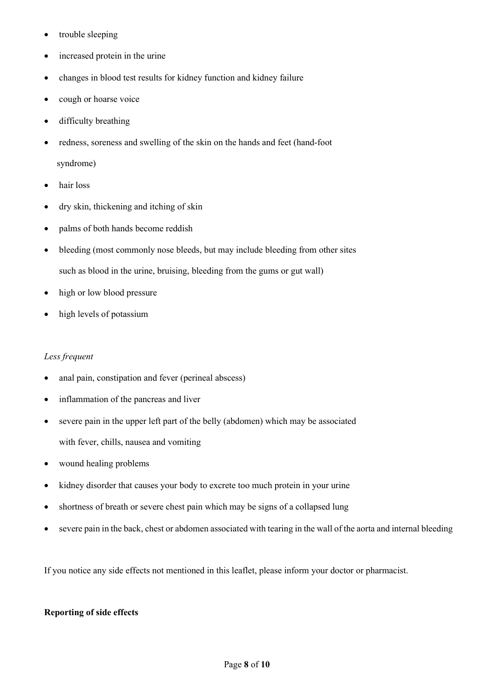- trouble sleeping
- increased protein in the urine
- changes in blood test results for kidney function and kidney failure
- cough or hoarse voice
- difficulty breathing
- redness, soreness and swelling of the skin on the hands and feet (hand-foot syndrome)
- hair loss
- dry skin, thickening and itching of skin
- palms of both hands become reddish
- bleeding (most commonly nose bleeds, but may include bleeding from other sites such as blood in the urine, bruising, bleeding from the gums or gut wall)
- high or low blood pressure
- high levels of potassium

# *Less frequent*

- anal pain, constipation and fever (perineal abscess)
- inflammation of the pancreas and liver
- severe pain in the upper left part of the belly (abdomen) which may be associated with fever, chills, nausea and vomiting
- wound healing problems
- kidney disorder that causes your body to excrete too much protein in your urine
- shortness of breath or severe chest pain which may be signs of a collapsed lung
- severe pain in the back, chest or abdomen associated with tearing in the wall of the aorta and internal bleeding

If you notice any side effects not mentioned in this leaflet, please inform your doctor or pharmacist.

# **Reporting of side effects**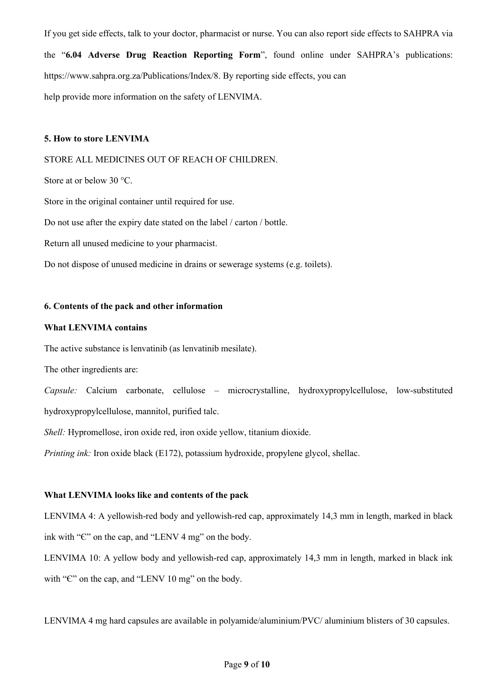If you get side effects, talk to your doctor, pharmacist or nurse. You can also report side effects to SAHPRA via the "**6.04 Adverse Drug Reaction Reporting Form**", found online under SAHPRA's publications: https://www.sahpra.org.za/Publications/Index/8. By reporting side effects, you can help provide more information on the safety of LENVIMA.

#### **5. How to store LENVIMA**

### STORE ALL MEDICINES OUT OF REACH OF CHILDREN.

Store at or below 30 °C.

Store in the original container until required for use.

Do not use after the expiry date stated on the label / carton / bottle.

Return all unused medicine to your pharmacist.

Do not dispose of unused medicine in drains or sewerage systems (e.g. toilets).

#### **6. Contents of the pack and other information**

### **What LENVIMA contains**

The active substance is lenvatinib (as lenvatinib mesilate).

The other ingredients are:

*Capsule:* Calcium carbonate, cellulose – microcrystalline, hydroxypropylcellulose, low-substituted hydroxypropylcellulose, mannitol, purified talc.

*Shell:* Hypromellose, iron oxide red, iron oxide yellow, titanium dioxide.

*Printing ink:* Iron oxide black (E172), potassium hydroxide, propylene glycol, shellac.

# **What LENVIMA looks like and contents of the pack**

LENVIMA 4: A yellowish-red body and yellowish-red cap, approximately 14,3 mm in length, marked in black ink with "Є" on the cap, and "LENV 4 mg" on the body.

LENVIMA 10: A yellow body and yellowish-red cap, approximately 14,3 mm in length, marked in black ink with "C" on the cap, and "LENV 10 mg" on the body.

LENVIMA 4 mg hard capsules are available in polyamide/aluminium/PVC/ aluminium blisters of 30 capsules.